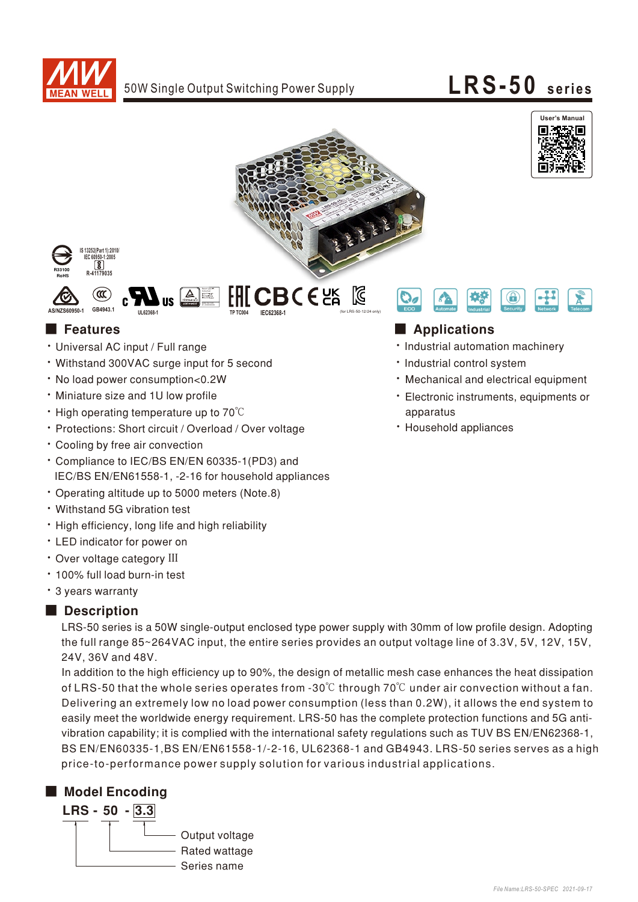









- Universal AC input / Full range
- Withstand 300VAC surge input for 5 second

**UL62368-1**

- No load power consumption<0.2W
- Miniature size and 1U low profile
- High operating temperature up to 70°C
- Protections: Short circuit / Overload / Over voltage
- Cooling by free air convection
- \* Compliance to IEC/BS EN/EN 60335-1(PD3) and IEC/BS EN/EN61558-1, -2-16 for household appliances

Bauart gepruft<br>Sicherheit<br>Pedrukstrivel<br>Colevaliduung ID 2000000000

**GB4943.1 TP TC004 AS/NZS60950-1 IEC62368-1**

- Operating altitude up to 5000 meters (Note.8)
- Withstand 5G vibration test
- High efficiency, long life and high reliability
- LED indicator for power on
- Over voltage category III
- 100% full load burn-in test
- 3 years warranty

### Description

LRS-50 series is a 50W single-output enclosed type power supply with 30mm of low profile design. Adopting the full range 85~264VAC input, the entire series provides an output voltage line of 3.3V, 5V, 12V, 15V, 24V. 36V and 48V.

easily meet the worldwide energy requirement. LRS-50 has the complete protection functions and 5G antivibration capability; it is complied with the international safety regulations such as TUV BS EN/EN62368-1, In addition to the high efficiency up to 90%, the design of metallic mesh case enhances the heat dissipation of LRS-50 that the whole series operates from -30°C through 70°C under air convection without a fan. Delivering an extremely low no load power consumption (less than 0.2W), it allows the end system to BS EN/EN60335-1, BS EN/EN61558-1/-2-16, UL62368-1 and GB4943. LRS-50 series serves as a high price-to-performance power supply solution for various industrial applications.

## ■ Model Encoding





## ■ Features ■ Particular and Particular and Particular and Particular and Particular and Particular and Particular and Particular and Particular and Particular and Particular and Particular and Particular and Particular an

- · Industrial automation machinery
- · Industrial control system
- Mechanical and electrical equipment
- Electronic instruments, equipments or apparatus
- · Household appliances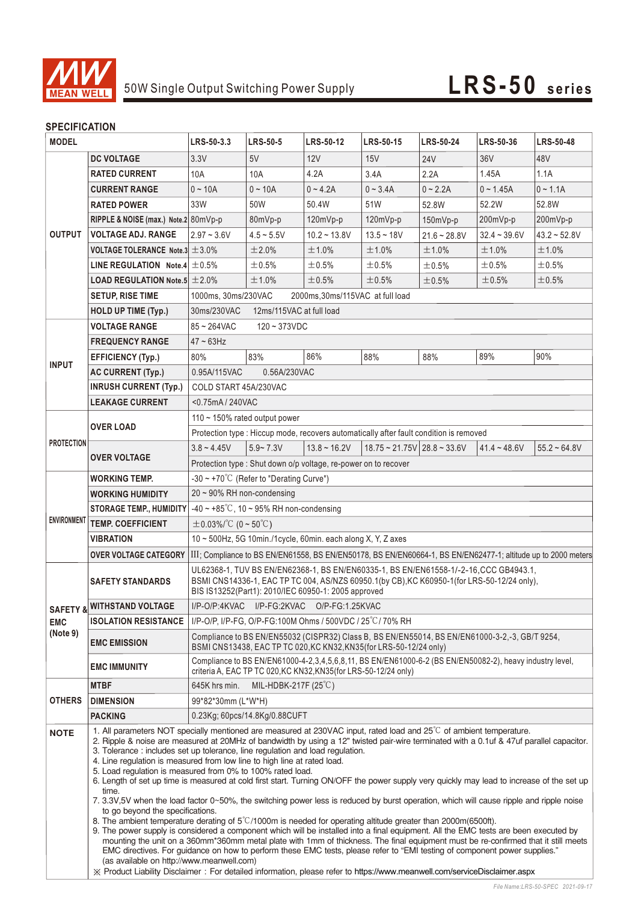

### **SPECIFICATION**

| <b>JELUIFIUAI IUN</b><br><b>MODEL</b> |                                                                                                                                                                                                                                                                                                                                                                                                                                                                                                                                                                                                                                                                                                                                                                                                                                                                                                                                                                                                                                                                                                                                                                                                                                                                                                                                                                                                                                                                                                                                                               | LRS-50-3.3                                                                                                                                                                                                                                 | <b>LRS-50-5</b> | <b>LRS-50-12</b>  | <b>LRS-50-15</b>                            | <b>LRS-50-24</b> | <b>LRS-50-36</b> | <b>LRS-50-48</b> |  |
|---------------------------------------|---------------------------------------------------------------------------------------------------------------------------------------------------------------------------------------------------------------------------------------------------------------------------------------------------------------------------------------------------------------------------------------------------------------------------------------------------------------------------------------------------------------------------------------------------------------------------------------------------------------------------------------------------------------------------------------------------------------------------------------------------------------------------------------------------------------------------------------------------------------------------------------------------------------------------------------------------------------------------------------------------------------------------------------------------------------------------------------------------------------------------------------------------------------------------------------------------------------------------------------------------------------------------------------------------------------------------------------------------------------------------------------------------------------------------------------------------------------------------------------------------------------------------------------------------------------|--------------------------------------------------------------------------------------------------------------------------------------------------------------------------------------------------------------------------------------------|-----------------|-------------------|---------------------------------------------|------------------|------------------|------------------|--|
|                                       | <b>DC VOLTAGE</b>                                                                                                                                                                                                                                                                                                                                                                                                                                                                                                                                                                                                                                                                                                                                                                                                                                                                                                                                                                                                                                                                                                                                                                                                                                                                                                                                                                                                                                                                                                                                             | 3.3V                                                                                                                                                                                                                                       | 5V              | 12V               | 15V                                         | <b>24V</b>       | 36 <sub>V</sub>  | 48V              |  |
| <b>OUTPUT</b>                         | <b>RATED CURRENT</b>                                                                                                                                                                                                                                                                                                                                                                                                                                                                                                                                                                                                                                                                                                                                                                                                                                                                                                                                                                                                                                                                                                                                                                                                                                                                                                                                                                                                                                                                                                                                          | 10A                                                                                                                                                                                                                                        | 10A             | 4.2A              | 3.4A                                        | 2.2A             | 1.45A            | 1.1A             |  |
|                                       | <b>CURRENT RANGE</b>                                                                                                                                                                                                                                                                                                                                                                                                                                                                                                                                                                                                                                                                                                                                                                                                                                                                                                                                                                                                                                                                                                                                                                                                                                                                                                                                                                                                                                                                                                                                          | $0 - 10A$                                                                                                                                                                                                                                  | $0 - 10A$       | $0 - 4.2A$        | $0 - 3.4A$                                  | $0 - 2.2A$       | $0 - 1.45A$      | $0 - 1.1A$       |  |
|                                       | <b>RATED POWER</b>                                                                                                                                                                                                                                                                                                                                                                                                                                                                                                                                                                                                                                                                                                                                                                                                                                                                                                                                                                                                                                                                                                                                                                                                                                                                                                                                                                                                                                                                                                                                            | 33W                                                                                                                                                                                                                                        | 50W             | 50.4W             | 51W                                         | 52.8W            | 52.2W            | 52.8W            |  |
|                                       | RIPPLE & NOISE (max.) Note.2 80mVp-p                                                                                                                                                                                                                                                                                                                                                                                                                                                                                                                                                                                                                                                                                                                                                                                                                                                                                                                                                                                                                                                                                                                                                                                                                                                                                                                                                                                                                                                                                                                          |                                                                                                                                                                                                                                            | 80mVp-p         | 120mVp-p          | 120mVp-p                                    | $150mVp-p$       | 200mVp-p         | 200mVp-p         |  |
|                                       | <b>VOLTAGE ADJ. RANGE</b>                                                                                                                                                                                                                                                                                                                                                                                                                                                                                                                                                                                                                                                                                                                                                                                                                                                                                                                                                                                                                                                                                                                                                                                                                                                                                                                                                                                                                                                                                                                                     | $2.97 - 3.6V$                                                                                                                                                                                                                              | $4.5 - 5.5V$    | $10.2 - 13.8V$    | $13.5 - 18V$                                | $21.6 - 28.8V$   | $32.4 - 39.6V$   | $43.2 - 52.8V$   |  |
|                                       | VOLTAGE TOLERANCE Note.3 $\pm$ 3.0%                                                                                                                                                                                                                                                                                                                                                                                                                                                                                                                                                                                                                                                                                                                                                                                                                                                                                                                                                                                                                                                                                                                                                                                                                                                                                                                                                                                                                                                                                                                           |                                                                                                                                                                                                                                            | $\pm 2.0\%$     | ±1.0%             | ±1.0%                                       | ±1.0%            | ±1.0%            | ±1.0%            |  |
|                                       | LINE REGULATION Note.4 $\pm$ 0.5%                                                                                                                                                                                                                                                                                                                                                                                                                                                                                                                                                                                                                                                                                                                                                                                                                                                                                                                                                                                                                                                                                                                                                                                                                                                                                                                                                                                                                                                                                                                             |                                                                                                                                                                                                                                            | ±0.5%           | ±0.5%             | $\pm 0.5\%$                                 | ±0.5%            | $\pm 0.5\%$      | $\pm 0.5\%$      |  |
|                                       | <b>LOAD REGULATION Note.5 <math>\pm</math> 2.0%</b>                                                                                                                                                                                                                                                                                                                                                                                                                                                                                                                                                                                                                                                                                                                                                                                                                                                                                                                                                                                                                                                                                                                                                                                                                                                                                                                                                                                                                                                                                                           |                                                                                                                                                                                                                                            | ±1.0%           | ±0.5%             | ±0.5%                                       | ±0.5%            | ±0.5%            | ±0.5%            |  |
|                                       | <b>SETUP, RISE TIME</b>                                                                                                                                                                                                                                                                                                                                                                                                                                                                                                                                                                                                                                                                                                                                                                                                                                                                                                                                                                                                                                                                                                                                                                                                                                                                                                                                                                                                                                                                                                                                       | 1000ms, 30ms/230VAC<br>2000ms, 30ms/115VAC at full load                                                                                                                                                                                    |                 |                   |                                             |                  |                  |                  |  |
|                                       | <b>HOLD UP TIME (Typ.)</b>                                                                                                                                                                                                                                                                                                                                                                                                                                                                                                                                                                                                                                                                                                                                                                                                                                                                                                                                                                                                                                                                                                                                                                                                                                                                                                                                                                                                                                                                                                                                    | 30ms/230VAC<br>12ms/115VAC at full load                                                                                                                                                                                                    |                 |                   |                                             |                  |                  |                  |  |
|                                       | <b>VOLTAGE RANGE</b>                                                                                                                                                                                                                                                                                                                                                                                                                                                                                                                                                                                                                                                                                                                                                                                                                                                                                                                                                                                                                                                                                                                                                                                                                                                                                                                                                                                                                                                                                                                                          | $85 - 264$ VAC<br>$120 - 373$ VDC                                                                                                                                                                                                          |                 |                   |                                             |                  |                  |                  |  |
|                                       | <b>FREQUENCY RANGE</b>                                                                                                                                                                                                                                                                                                                                                                                                                                                                                                                                                                                                                                                                                                                                                                                                                                                                                                                                                                                                                                                                                                                                                                                                                                                                                                                                                                                                                                                                                                                                        | $47 - 63$ Hz                                                                                                                                                                                                                               |                 |                   |                                             |                  |                  |                  |  |
|                                       | <b>EFFICIENCY (Typ.)</b>                                                                                                                                                                                                                                                                                                                                                                                                                                                                                                                                                                                                                                                                                                                                                                                                                                                                                                                                                                                                                                                                                                                                                                                                                                                                                                                                                                                                                                                                                                                                      | 80%                                                                                                                                                                                                                                        | 83%             | 86%               | 88%                                         | 88%              | 89%              | 90%              |  |
| <b>INPUT</b>                          | <b>AC CURRENT (Typ.)</b>                                                                                                                                                                                                                                                                                                                                                                                                                                                                                                                                                                                                                                                                                                                                                                                                                                                                                                                                                                                                                                                                                                                                                                                                                                                                                                                                                                                                                                                                                                                                      | 0.95A/115VAC                                                                                                                                                                                                                               | 0.56A/230VAC    |                   |                                             |                  |                  |                  |  |
|                                       | <b>INRUSH CURRENT (Typ.)</b>                                                                                                                                                                                                                                                                                                                                                                                                                                                                                                                                                                                                                                                                                                                                                                                                                                                                                                                                                                                                                                                                                                                                                                                                                                                                                                                                                                                                                                                                                                                                  | COLD START 45A/230VAC                                                                                                                                                                                                                      |                 |                   |                                             |                  |                  |                  |  |
|                                       | <b>LEAKAGE CURRENT</b>                                                                                                                                                                                                                                                                                                                                                                                                                                                                                                                                                                                                                                                                                                                                                                                                                                                                                                                                                                                                                                                                                                                                                                                                                                                                                                                                                                                                                                                                                                                                        | <0.75mA/240VAC                                                                                                                                                                                                                             |                 |                   |                                             |                  |                  |                  |  |
|                                       |                                                                                                                                                                                                                                                                                                                                                                                                                                                                                                                                                                                                                                                                                                                                                                                                                                                                                                                                                                                                                                                                                                                                                                                                                                                                                                                                                                                                                                                                                                                                                               |                                                                                                                                                                                                                                            |                 |                   |                                             |                  |                  |                  |  |
| <b>PROTECTION</b>                     | <b>OVER LOAD</b>                                                                                                                                                                                                                                                                                                                                                                                                                                                                                                                                                                                                                                                                                                                                                                                                                                                                                                                                                                                                                                                                                                                                                                                                                                                                                                                                                                                                                                                                                                                                              | 110 $\sim$ 150% rated output power<br>Protection type : Hiccup mode, recovers automatically after fault condition is removed                                                                                                               |                 |                   |                                             |                  |                  |                  |  |
|                                       |                                                                                                                                                                                                                                                                                                                                                                                                                                                                                                                                                                                                                                                                                                                                                                                                                                                                                                                                                                                                                                                                                                                                                                                                                                                                                                                                                                                                                                                                                                                                                               | $3.8 - 4.45V$                                                                                                                                                                                                                              | $5.9 - 7.3V$    | $13.8 \sim 16.2V$ | $18.75 \approx 21.75V$ 28.8 $\approx 33.6V$ |                  | $41.4 - 48.6V$   | $55.2 - 64.8V$   |  |
|                                       | <b>OVER VOLTAGE</b>                                                                                                                                                                                                                                                                                                                                                                                                                                                                                                                                                                                                                                                                                                                                                                                                                                                                                                                                                                                                                                                                                                                                                                                                                                                                                                                                                                                                                                                                                                                                           |                                                                                                                                                                                                                                            |                 |                   |                                             |                  |                  |                  |  |
| <b>ENVIRONMENT</b>                    |                                                                                                                                                                                                                                                                                                                                                                                                                                                                                                                                                                                                                                                                                                                                                                                                                                                                                                                                                                                                                                                                                                                                                                                                                                                                                                                                                                                                                                                                                                                                                               | Protection type: Shut down o/p voltage, re-power on to recover                                                                                                                                                                             |                 |                   |                                             |                  |                  |                  |  |
|                                       | <b>WORKING TEMP.</b>                                                                                                                                                                                                                                                                                                                                                                                                                                                                                                                                                                                                                                                                                                                                                                                                                                                                                                                                                                                                                                                                                                                                                                                                                                                                                                                                                                                                                                                                                                                                          | $-30 \sim +70^{\circ}$ C (Refer to "Derating Curve")<br>$20 \sim 90\%$ RH non-condensing                                                                                                                                                   |                 |                   |                                             |                  |                  |                  |  |
|                                       | <b>WORKING HUMIDITY</b>                                                                                                                                                                                                                                                                                                                                                                                                                                                                                                                                                                                                                                                                                                                                                                                                                                                                                                                                                                                                                                                                                                                                                                                                                                                                                                                                                                                                                                                                                                                                       |                                                                                                                                                                                                                                            |                 |                   |                                             |                  |                  |                  |  |
|                                       | <b>STORAGE TEMP., HUMIDITY</b><br><b>TEMP. COEFFICIENT</b>                                                                                                                                                                                                                                                                                                                                                                                                                                                                                                                                                                                                                                                                                                                                                                                                                                                                                                                                                                                                                                                                                                                                                                                                                                                                                                                                                                                                                                                                                                    | $-40 \sim +85^{\circ}$ C, 10 ~ 95% RH non-condensing<br>$\pm$ 0.03%/°C (0 ~ 50°C)                                                                                                                                                          |                 |                   |                                             |                  |                  |                  |  |
|                                       | <b>VIBRATION</b>                                                                                                                                                                                                                                                                                                                                                                                                                                                                                                                                                                                                                                                                                                                                                                                                                                                                                                                                                                                                                                                                                                                                                                                                                                                                                                                                                                                                                                                                                                                                              | 10 ~ 500Hz, 5G 10min./1cycle, 60min. each along X, Y, Z axes                                                                                                                                                                               |                 |                   |                                             |                  |                  |                  |  |
|                                       |                                                                                                                                                                                                                                                                                                                                                                                                                                                                                                                                                                                                                                                                                                                                                                                                                                                                                                                                                                                                                                                                                                                                                                                                                                                                                                                                                                                                                                                                                                                                                               |                                                                                                                                                                                                                                            |                 |                   |                                             |                  |                  |                  |  |
|                                       | <b>OVER VOLTAGE CATEGORY</b>                                                                                                                                                                                                                                                                                                                                                                                                                                                                                                                                                                                                                                                                                                                                                                                                                                                                                                                                                                                                                                                                                                                                                                                                                                                                                                                                                                                                                                                                                                                                  | III; Compliance to BS EN/EN61558, BS EN/EN50178, BS EN/EN60664-1, BS EN/EN62477-1; altitude up to 2000 meters                                                                                                                              |                 |                   |                                             |                  |                  |                  |  |
|                                       | <b>SAFETY STANDARDS</b>                                                                                                                                                                                                                                                                                                                                                                                                                                                                                                                                                                                                                                                                                                                                                                                                                                                                                                                                                                                                                                                                                                                                                                                                                                                                                                                                                                                                                                                                                                                                       | UL62368-1, TUV BS EN/EN62368-1, BS EN/EN60335-1, BS EN/EN61558-1/-2-16, CCC GB4943.1,<br>BSMI CNS14336-1, EAC TP TC 004, AS/NZS 60950.1(by CB), KC K60950-1(for LRS-50-12/24 only),<br>BIS IS13252(Part1): 2010/IEC 60950-1: 2005 approved |                 |                   |                                             |                  |                  |                  |  |
|                                       | SAFETY & WITHSTAND VOLTAGE                                                                                                                                                                                                                                                                                                                                                                                                                                                                                                                                                                                                                                                                                                                                                                                                                                                                                                                                                                                                                                                                                                                                                                                                                                                                                                                                                                                                                                                                                                                                    | I/P-O/P:4KVAC I/P-FG:2KVAC O/P-FG:1.25KVAC                                                                                                                                                                                                 |                 |                   |                                             |                  |                  |                  |  |
| <b>EMC</b>                            | <b>ISOLATION RESISTANCE</b>                                                                                                                                                                                                                                                                                                                                                                                                                                                                                                                                                                                                                                                                                                                                                                                                                                                                                                                                                                                                                                                                                                                                                                                                                                                                                                                                                                                                                                                                                                                                   | I/P-O/P, I/P-FG, O/P-FG:100M Ohms / 500VDC / 25°C/ 70% RH                                                                                                                                                                                  |                 |                   |                                             |                  |                  |                  |  |
| (Note 9)                              | <b>EMC EMISSION</b>                                                                                                                                                                                                                                                                                                                                                                                                                                                                                                                                                                                                                                                                                                                                                                                                                                                                                                                                                                                                                                                                                                                                                                                                                                                                                                                                                                                                                                                                                                                                           | Compliance to BS EN/EN55032 (CISPR32) Class B, BS EN/EN55014, BS EN/EN61000-3-2,-3, GB/T 9254,<br>BSMI CNS13438, EAC TP TC 020, KC KN32, KN35 (for LRS-50-12/24 only)                                                                      |                 |                   |                                             |                  |                  |                  |  |
|                                       | <b>EMC IMMUNITY</b>                                                                                                                                                                                                                                                                                                                                                                                                                                                                                                                                                                                                                                                                                                                                                                                                                                                                                                                                                                                                                                                                                                                                                                                                                                                                                                                                                                                                                                                                                                                                           | Compliance to BS EN/EN61000-4-2,3,4,5,6,8,11, BS EN/EN61000-6-2 (BS EN/EN50082-2), heavy industry level,<br>criteria A, EAC TP TC 020, KC KN32, KN35 (for LRS-50-12/24 only)                                                               |                 |                   |                                             |                  |                  |                  |  |
| <b>OTHERS</b>                         | <b>MTBF</b>                                                                                                                                                                                                                                                                                                                                                                                                                                                                                                                                                                                                                                                                                                                                                                                                                                                                                                                                                                                                                                                                                                                                                                                                                                                                                                                                                                                                                                                                                                                                                   | MIL-HDBK-217F $(25^{\circ}C)$<br>645K hrs min.                                                                                                                                                                                             |                 |                   |                                             |                  |                  |                  |  |
|                                       | <b>DIMENSION</b>                                                                                                                                                                                                                                                                                                                                                                                                                                                                                                                                                                                                                                                                                                                                                                                                                                                                                                                                                                                                                                                                                                                                                                                                                                                                                                                                                                                                                                                                                                                                              | 99*82*30mm (L*W*H)                                                                                                                                                                                                                         |                 |                   |                                             |                  |                  |                  |  |
|                                       | <b>PACKING</b>                                                                                                                                                                                                                                                                                                                                                                                                                                                                                                                                                                                                                                                                                                                                                                                                                                                                                                                                                                                                                                                                                                                                                                                                                                                                                                                                                                                                                                                                                                                                                | 0.23Kg; 60pcs/14.8Kg/0.88CUFT                                                                                                                                                                                                              |                 |                   |                                             |                  |                  |                  |  |
| <b>NOTE</b>                           | 1. All parameters NOT specially mentioned are measured at 230VAC input, rated load and 25 <sup>°</sup> C of ambient temperature.<br>2. Ripple & noise are measured at 20MHz of bandwidth by using a 12" twisted pair-wire terminated with a 0.1uf & 47uf parallel capacitor.<br>3. Tolerance: includes set up tolerance, line regulation and load regulation.<br>4. Line regulation is measured from low line to high line at rated load.<br>5. Load regulation is measured from 0% to 100% rated load.<br>6. Length of set up time is measured at cold first start. Turning ON/OFF the power supply very quickly may lead to increase of the set up<br>time.<br>7. 3.3V,5V when the load factor 0~50%, the switching power less is reduced by burst operation, which will cause ripple and ripple noise<br>to go beyond the specifications.<br>8. The ambient temperature derating of $5^{\circ}$ (1000m is needed for operating altitude greater than 2000m(6500ft).<br>9. The power supply is considered a component which will be installed into a final equipment. All the EMC tests are been executed by<br>mounting the unit on a 360mm*360mm metal plate with 1mm of thickness. The final equipment must be re-confirmed that it still meets<br>EMC directives. For guidance on how to perform these EMC tests, please refer to "EMI testing of component power supplies."<br>(as available on http://www.meanwell.com)<br>X Product Liability Disclaimer : For detailed information, please refer to https://www.meanwell.com/serviceDisclaimer.aspx |                                                                                                                                                                                                                                            |                 |                   |                                             |                  |                  |                  |  |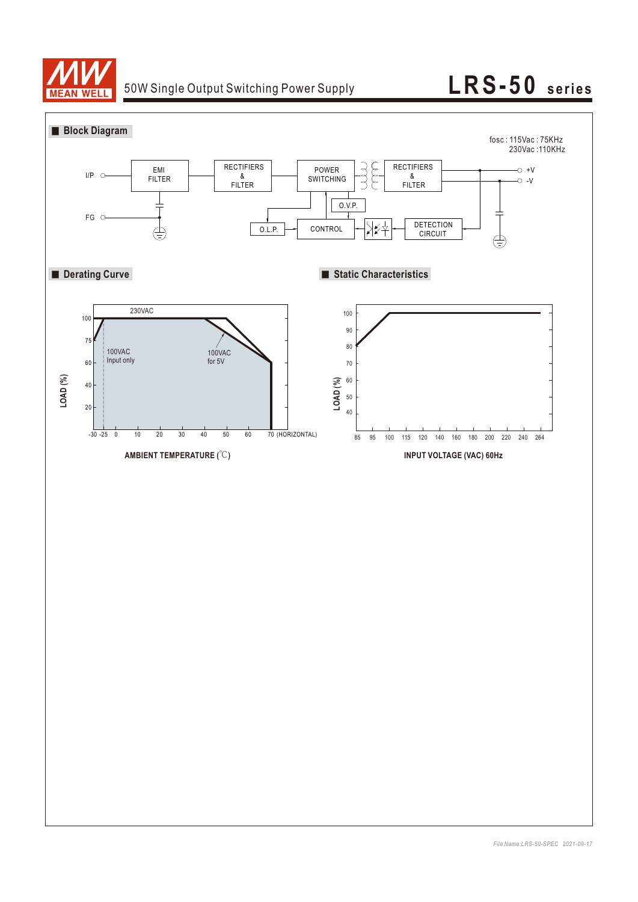

# 50W Single Output Switching Power Supply **LRS-50** series